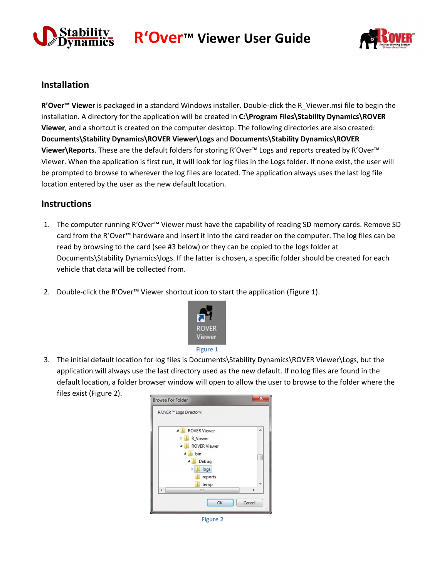

**R'Over™ Viewer User Guide**



## **Installation**

**R'Over™ Viewer** is packaged in a standard Windows installer. Double-click the R\_Viewer.msi file to begin the installation. A directory for the application will be created in **C:\Program Files\Stability Dynamics\ROVER Viewer**, and a shortcut is created on the computer desktop. The following directories are also created: **Documents\Stability Dynamics\ROVER Viewer\Logs** and **Documents\Stability Dynamics\ROVER Viewer\Reports**. These are the default folders for storing R'Over™ Logs and reports created by R'Over™ Viewer. When the application is first run, it will look for log files in the Logs folder. If none exist, the user will be prompted to browse to wherever the log files are located. The application always uses the last log file location entered by the user as the new default location.

## **Instructions**

- 1. The computer running R'Over™ Viewer must have the capability of reading SD memory cards. Remove SD card from the R'Over™ hardware and insert it into the card reader on the computer. The log files can be read by browsing to the card (see #3 below) or they can be copied to the logs folder at Documents\Stability Dynamics\logs. If the latter is chosen, a specific folder should be created for each vehicle that data will be collected from.
- 2. Double-click the R'Over™ Viewer shortcut icon to start the application (Figure 1).



3. The initial default location for log files is Documents\Stability Dynamics\ROVER Viewer\Logs, but the application will always use the last directory used as the new default. If no log files are found in the default location, a folder browser window will open to allow the user to browse to the folder where the files exist (Figure 2).



**Figure 2**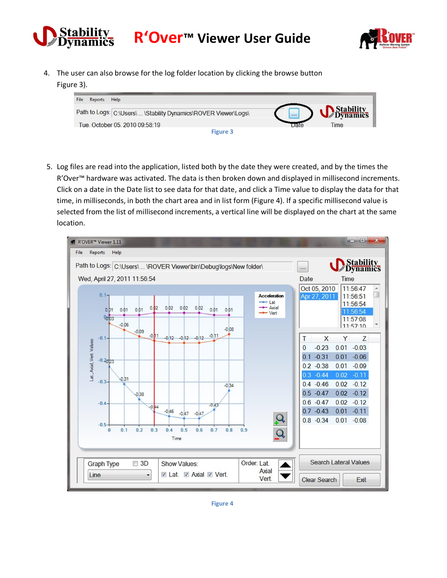

**R'Over™ Viewer User Guide**



4. The user can also browse for the log folder location by clicking the browse button Figure 3).



5. Log files are read into the application, listed both by the date they were created, and by the times the R'Over<sup>™</sup> hardware was activated. The data is then broken down and displayed in millisecond increments. Click on a date in the Date list to see data for that date, and click a Time value to display the data for that time, in milliseconds, in both the chart area and in list form (Figure 4). If a specific millisecond value is selected from the list of millisecond increments, a vertical line will be displayed on the chart at the same location.